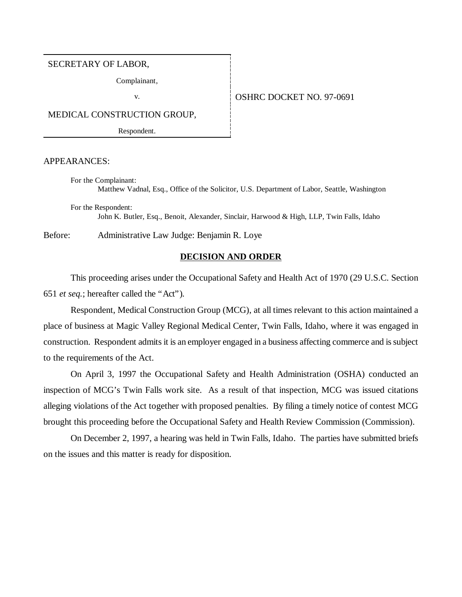# SECRETARY OF LABOR,

Complainant,

# v. 691

MEDICAL CONSTRUCTION GROUP,

Respondent.

APPEARANCES:

For the Complainant: Matthew Vadnal, Esq., Office of the Solicitor, U.S. Department of Labor, Seattle, Washington

For the Respondent: John K. Butler, Esq., Benoit, Alexander, Sinclair, Harwood & High, LLP, Twin Falls, Idaho

Before: Administrative Law Judge: Benjamin R. Loye

# **DECISION AND ORDER**

This proceeding arises under the Occupational Safety and Health Act of 1970 (29 U.S.C. Section 651 *et seq.*; hereafter called the "Act").

Respondent, Medical Construction Group (MCG), at all times relevant to this action maintained a place of business at Magic Valley Regional Medical Center, Twin Falls, Idaho, where it was engaged in construction. Respondent admits it is an employer engaged in a business affecting commerce and is subject to the requirements of the Act.

On April 3, 1997 the Occupational Safety and Health Administration (OSHA) conducted an inspection of MCG's Twin Falls work site. As a result of that inspection, MCG was issued citations alleging violations of the Act together with proposed penalties. By filing a timely notice of contest MCG brought this proceeding before the Occupational Safety and Health Review Commission (Commission).

On December 2, 1997, a hearing was held in Twin Falls, Idaho. The parties have submitted briefs on the issues and this matter is ready for disposition.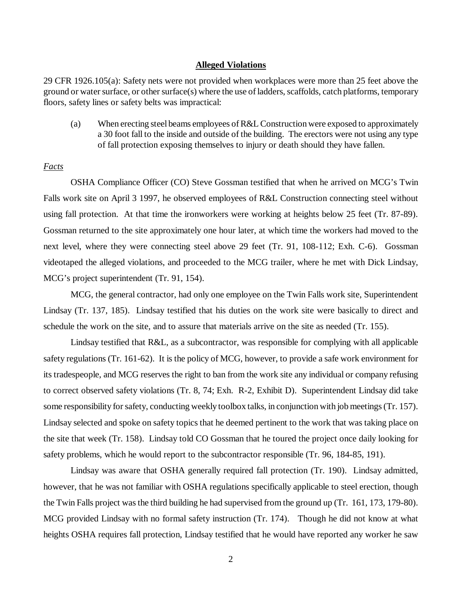#### **Alleged Violations**

29 CFR 1926.105(a): Safety nets were not provided when workplaces were more than 25 feet above the ground or water surface, or other surface(s) where the use of ladders, scaffolds, catch platforms, temporary floors, safety lines or safety belts was impractical:

(a) When erecting steel beams employees of R&L Construction were exposed to approximately a 30 foot fall to the inside and outside of the building. The erectors were not using any type of fall protection exposing themselves to injury or death should they have fallen.

# *Facts*

OSHA Compliance Officer (CO) Steve Gossman testified that when he arrived on MCG's Twin Falls work site on April 3 1997, he observed employees of R&L Construction connecting steel without using fall protection. At that time the ironworkers were working at heights below 25 feet (Tr. 87-89). Gossman returned to the site approximately one hour later, at which time the workers had moved to the next level, where they were connecting steel above 29 feet (Tr. 91, 108-112; Exh. C-6). Gossman videotaped the alleged violations, and proceeded to the MCG trailer, where he met with Dick Lindsay, MCG's project superintendent (Tr. 91, 154).

MCG, the general contractor, had only one employee on the Twin Falls work site, Superintendent Lindsay (Tr. 137, 185). Lindsay testified that his duties on the work site were basically to direct and schedule the work on the site, and to assure that materials arrive on the site as needed (Tr. 155).

Lindsay testified that R&L, as a subcontractor, was responsible for complying with all applicable safety regulations (Tr. 161-62). It is the policy of MCG, however, to provide a safe work environment for its tradespeople, and MCG reserves the right to ban from the work site any individual or company refusing to correct observed safety violations (Tr. 8, 74; Exh. R-2, Exhibit D). Superintendent Lindsay did take some responsibility for safety, conducting weekly toolbox talks, in conjunction with job meetings (Tr. 157). Lindsay selected and spoke on safety topics that he deemed pertinent to the work that was taking place on the site that week (Tr. 158). Lindsay told CO Gossman that he toured the project once daily looking for safety problems, which he would report to the subcontractor responsible (Tr. 96, 184-85, 191).

Lindsay was aware that OSHA generally required fall protection (Tr. 190). Lindsay admitted, however, that he was not familiar with OSHA regulations specifically applicable to steel erection, though the Twin Falls project was the third building he had supervised from the ground up (Tr. 161, 173, 179-80). MCG provided Lindsay with no formal safety instruction (Tr. 174). Though he did not know at what heights OSHA requires fall protection, Lindsay testified that he would have reported any worker he saw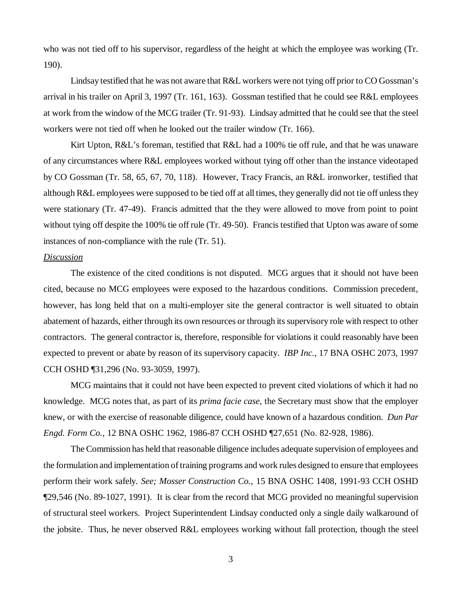who was not tied off to his supervisor, regardless of the height at which the employee was working (Tr. 190).

Lindsay testified that he was not aware that R&L workers were not tying off prior to CO Gossman's arrival in his trailer on April 3, 1997 (Tr. 161, 163). Gossman testified that he could see R&L employees at work from the window of the MCG trailer (Tr. 91-93). Lindsay admitted that he could see that the steel workers were not tied off when he looked out the trailer window (Tr. 166).

Kirt Upton, R&L's foreman, testified that R&L had a 100% tie off rule, and that he was unaware of any circumstances where R&L employees worked without tying off other than the instance videotaped by CO Gossman (Tr. 58, 65, 67, 70, 118). However, Tracy Francis, an R&L ironworker, testified that although R&L employees were supposed to be tied off at all times, they generally did not tie off unless they were stationary (Tr. 47-49). Francis admitted that the they were allowed to move from point to point without tying off despite the 100% tie off rule (Tr. 49-50). Francis testified that Upton was aware of some instances of non-compliance with the rule (Tr. 51).

# *Discussion*

The existence of the cited conditions is not disputed. MCG argues that it should not have been cited, because no MCG employees were exposed to the hazardous conditions. Commission precedent, however, has long held that on a multi-employer site the general contractor is well situated to obtain abatement of hazards, either through its own resources or through its supervisory role with respect to other contractors. The general contractor is, therefore, responsible for violations it could reasonably have been expected to prevent or abate by reason of its supervisory capacity. *IBP Inc.,* 17 BNA OSHC 2073, 1997 CCH OSHD ¶31,296 (No. 93-3059, 1997).

MCG maintains that it could not have been expected to prevent cited violations of which it had no knowledge. MCG notes that, as part of its *prima facie case,* the Secretary must show that the employer knew, or with the exercise of reasonable diligence, could have known of a hazardous condition. *Dun Par Engd. Form Co.*, 12 BNA OSHC 1962, 1986-87 CCH OSHD ¶27,651 (No. 82-928, 1986).

The Commission has held that reasonable diligence includes adequate supervision of employees and the formulation and implementation of training programs and work rules designed to ensure that employees perform their work safely. *See; Mosser Construction Co.,* 15 BNA OSHC 1408, 1991-93 CCH OSHD ¶29,546 (No. 89-1027, 1991). It is clear from the record that MCG provided no meaningful supervision of structural steel workers. Project Superintendent Lindsay conducted only a single daily walkaround of the jobsite. Thus, he never observed R&L employees working without fall protection, though the steel